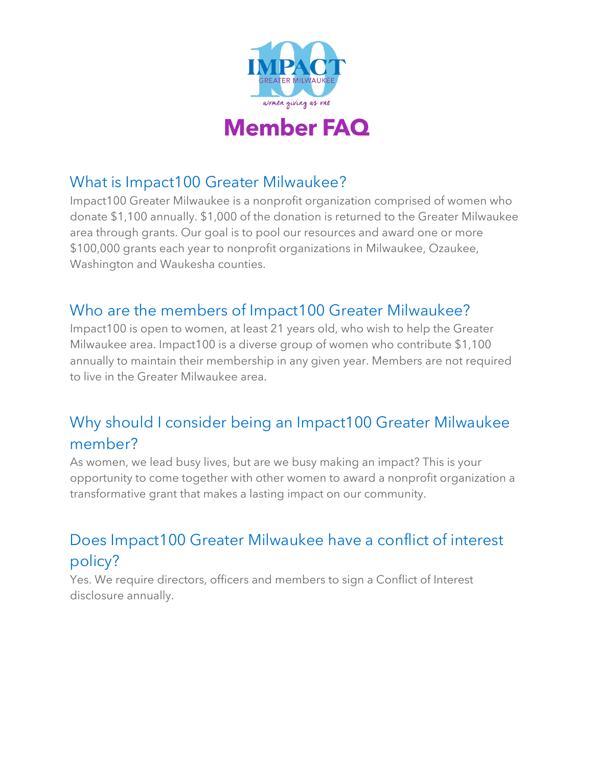

### What is Impact100 Greater Milwaukee?

Impact100 Greater Milwaukee is a nonprofit organization comprised of women who donate \$1,100 annually. \$1,000 of the donation is returned to the Greater Milwaukee area through grants. Our goal is to pool our resources and award one or more \$100,000 grants each year to nonprofit organizations in Milwaukee, Ozaukee, Washington and Waukesha counties.

### Who are the members of Impact100 Greater Milwaukee?

Impact100 is open to women, at least 21 years old, who wish to help the Greater Milwaukee area. Impact100 is a diverse group of women who contribute \$1,100 annually to maintain their membership in any given year. Members are not required to live in the Greater Milwaukee area.

# Why should I consider being an Impact100 Greater Milwaukee member?

As women, we lead busy lives, but are we busy making an impact? This is your opportunity to come together with other women to award a nonprofit organization a transformative grant that makes a lasting impact on our community.

## Does Impact100 Greater Milwaukee have a conflict of interest policy?

Yes. We require directors, officers and members to sign a Conflict of Interest disclosure annually.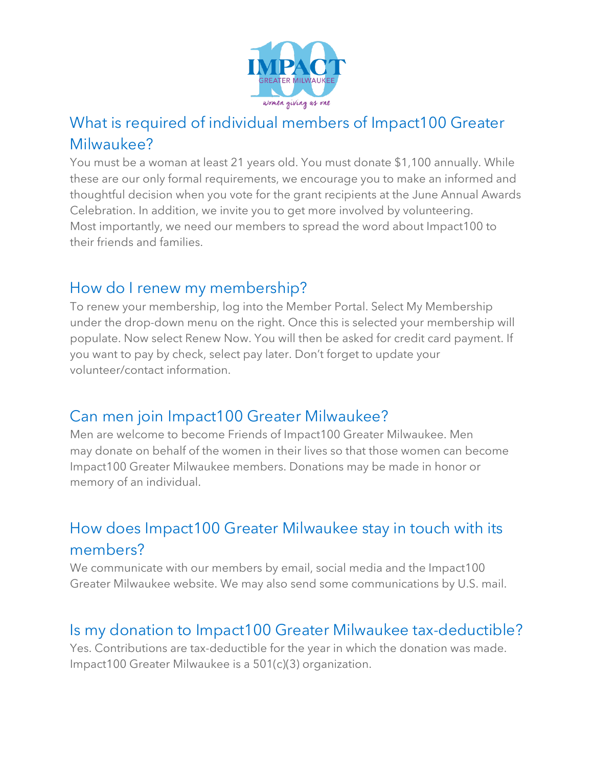

## What is required of individual members of Impact100 Greater Milwaukee?

You must be a woman at least 21 years old. You must donate \$1,100 annually. While these are our only formal requirements, we encourage you to make an informed and thoughtful decision when you vote for the grant recipients at the June Annual Awards Celebration. In addition, we invite you to get more involved by volunteering. Most importantly, we need our members to spread the word about Impact100 to their friends and families.

#### How do I renew my membership?

To renew your membership, log into the Member Portal. Select My Membership under the drop-down menu on the right. Once this is selected your membership will populate. Now select Renew Now. You will then be asked for credit card payment. If you want to pay by check, select pay later. Don't forget to update your volunteer/contact information.

### Can men join Impact100 Greater Milwaukee?

Men are welcome to become Friends of Impact100 Greater Milwaukee. Men may donate on behalf of the women in their lives so that those women can become Impact100 Greater Milwaukee members. Donations may be made in honor or memory of an individual.

# How does Impact100 Greater Milwaukee stay in touch with its members?

We communicate with our members by email, social media and the Impact100 Greater Milwaukee website. We may also send some communications by U.S. mail.

### Is my donation to Impact100 Greater Milwaukee tax-deductible?

Yes. Contributions are tax-deductible for the year in which the donation was made. Impact100 Greater Milwaukee is a 501(c)(3) organization.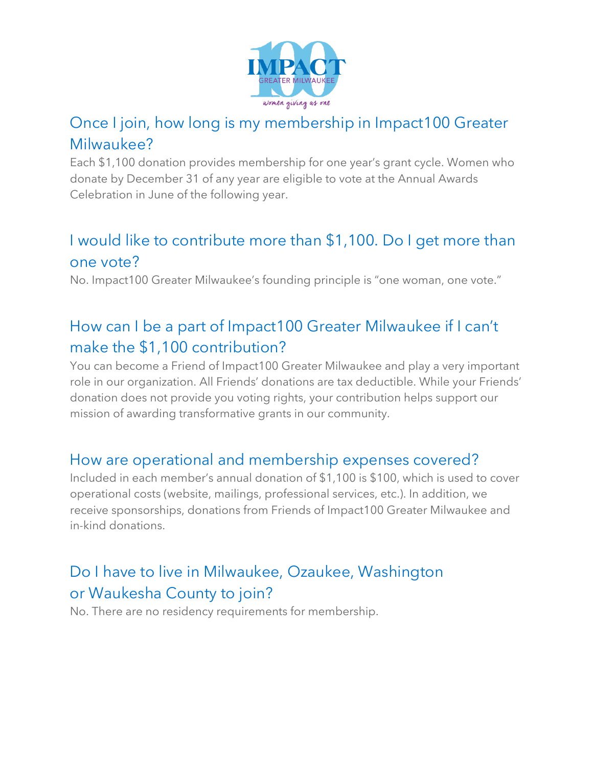

## Once I join, how long is my membership in Impact100 Greater Milwaukee?

Each \$1,100 donation provides membership for one year's grant cycle. Women who donate by December 31 of any year are eligible to vote at the Annual Awards Celebration in June of the following year.

## I would like to contribute more than \$1,100. Do I get more than one vote?

No. Impact100 Greater Milwaukee's founding principle is "one woman, one vote."

# How can I be a part of Impact100 Greater Milwaukee if I can't make the \$1,100 contribution?

You can become a Friend of Impact100 Greater Milwaukee and play a very important role in our organization. All Friends' donations are tax deductible. While your Friends' donation does not provide you voting rights, your contribution helps support our mission of awarding transformative grants in our community.

#### How are operational and membership expenses covered?

Included in each member's annual donation of \$1,100 is \$100, which is used to cover operational costs (website, mailings, professional services, etc.). In addition, we receive sponsorships, donations from Friends of Impact100 Greater Milwaukee and in-kind donations.

# Do I have to live in Milwaukee, Ozaukee, Washington or Waukesha County to join?

No. There are no residency requirements for membership.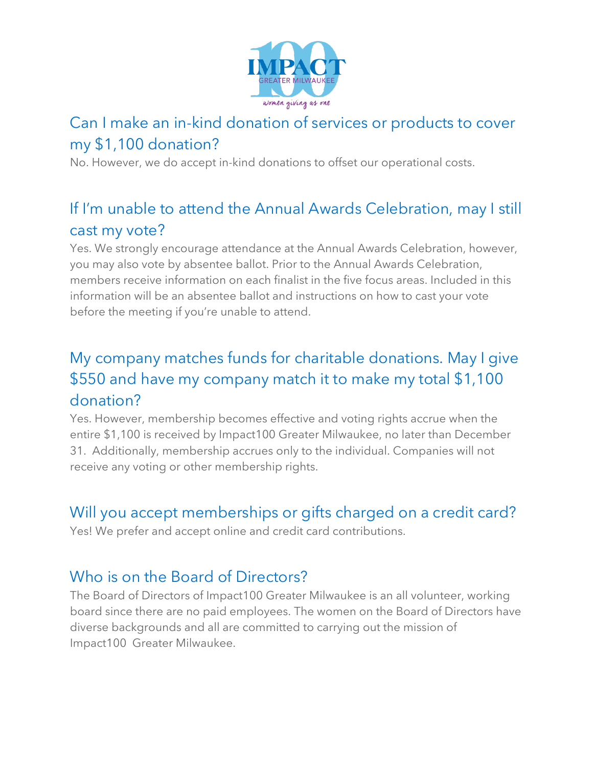

# Can I make an in-kind donation of services or products to cover my \$1,100 donation?

No. However, we do accept in-kind donations to offset our operational costs.

# If I'm unable to attend the Annual Awards Celebration, may I still cast my vote?

Yes. We strongly encourage attendance at the Annual Awards Celebration, however, you may also vote by absentee ballot. Prior to the Annual Awards Celebration, members receive information on each finalist in the five focus areas. Included in this information will be an absentee ballot and instructions on how to cast your vote before the meeting if you're unable to attend.

## My company matches funds for charitable donations. May I give \$550 and have my company match it to make my total \$1,100 donation?

Yes. However, membership becomes effective and voting rights accrue when the entire \$1,100 is received by Impact100 Greater Milwaukee, no later than December 31. Additionally, membership accrues only to the individual. Companies will not receive any voting or other membership rights.

#### Will you accept memberships or gifts charged on a credit card?

Yes! We prefer and accept online and credit card contributions.

#### Who is on the Board of Directors?

The Board of Directors of Impact100 Greater Milwaukee is an all volunteer, working board since there are no paid employees. The women on the Board of Directors have diverse backgrounds and all are committed to carrying out the mission of Impact100 Greater Milwaukee.